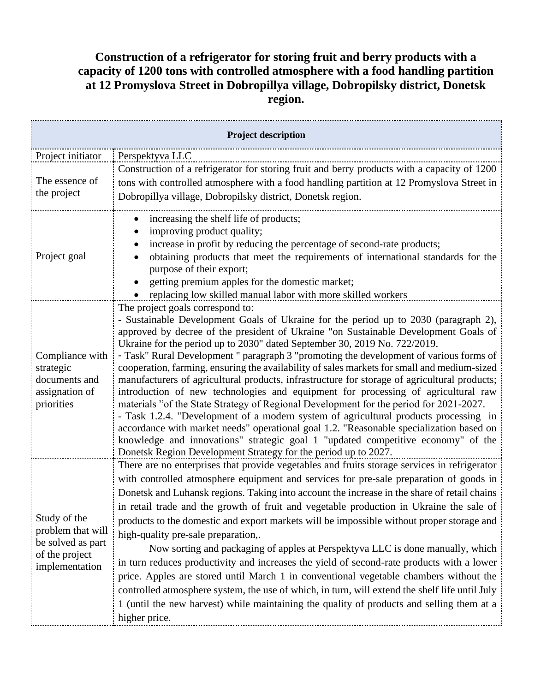## **Construction of a refrigerator for storing fruit and berry products with a capacity of 1200 tons with controlled atmosphere with a food handling partition at 12 Promyslova Street in Dobropillya village, Dobropilsky district, Donetsk region.**

| <b>Project description</b>                                                                 |                                                                                                                                                                                 |  |
|--------------------------------------------------------------------------------------------|---------------------------------------------------------------------------------------------------------------------------------------------------------------------------------|--|
| Project initiator                                                                          | Perspektyva LLC                                                                                                                                                                 |  |
| The essence of<br>the project                                                              | Construction of a refrigerator for storing fruit and berry products with a capacity of 1200                                                                                     |  |
|                                                                                            | tons with controlled atmosphere with a food handling partition at 12 Promyslova Street in                                                                                       |  |
|                                                                                            | Dobropillya village, Dobropilsky district, Donetsk region.                                                                                                                      |  |
| Project goal                                                                               | increasing the shelf life of products;                                                                                                                                          |  |
|                                                                                            | improving product quality;                                                                                                                                                      |  |
|                                                                                            | increase in profit by reducing the percentage of second-rate products;                                                                                                          |  |
|                                                                                            | obtaining products that meet the requirements of international standards for the<br>purpose of their export;                                                                    |  |
|                                                                                            | getting premium apples for the domestic market;                                                                                                                                 |  |
|                                                                                            | replacing low skilled manual labor with more skilled workers                                                                                                                    |  |
| Compliance with<br>strategic<br>documents and<br>assignation of                            | The project goals correspond to:                                                                                                                                                |  |
|                                                                                            | - Sustainable Development Goals of Ukraine for the period up to 2030 (paragraph 2),<br>approved by decree of the president of Ukraine "on Sustainable Development Goals of      |  |
|                                                                                            | Ukraine for the period up to 2030" dated September 30, 2019 No. 722/2019.                                                                                                       |  |
|                                                                                            | - Task" Rural Development " paragraph 3 "promoting the development of various forms of                                                                                          |  |
|                                                                                            | cooperation, farming, ensuring the availability of sales markets for small and medium-sized                                                                                     |  |
|                                                                                            | manufacturers of agricultural products, infrastructure for storage of agricultural products;                                                                                    |  |
|                                                                                            | introduction of new technologies and equipment for processing of agricultural raw                                                                                               |  |
| priorities                                                                                 | materials "of the State Strategy of Regional Development for the period for 2021-2027.                                                                                          |  |
|                                                                                            | - Task 1.2.4. "Development of a modern system of agricultural products processing in<br>accordance with market needs" operational goal 1.2. "Reasonable specialization based on |  |
|                                                                                            | knowledge and innovations" strategic goal 1 "updated competitive economy" of the                                                                                                |  |
|                                                                                            | Donetsk Region Development Strategy for the period up to 2027.                                                                                                                  |  |
| Study of the<br>problem that will<br>be solved as part<br>of the project<br>implementation | There are no enterprises that provide vegetables and fruits storage services in refrigerator                                                                                    |  |
|                                                                                            | with controlled atmosphere equipment and services for pre-sale preparation of goods in                                                                                          |  |
|                                                                                            | Donetsk and Luhansk regions. Taking into account the increase in the share of retail chains                                                                                     |  |
|                                                                                            | in retail trade and the growth of fruit and vegetable production in Ukraine the sale of                                                                                         |  |
|                                                                                            | products to the domestic and export markets will be impossible without proper storage and                                                                                       |  |
|                                                                                            | high-quality pre-sale preparation,.                                                                                                                                             |  |
|                                                                                            | Now sorting and packaging of apples at Perspektyva LLC is done manually, which                                                                                                  |  |
|                                                                                            | in turn reduces productivity and increases the yield of second-rate products with a lower                                                                                       |  |
|                                                                                            | price. Apples are stored until March 1 in conventional vegetable chambers without the                                                                                           |  |
|                                                                                            | controlled atmosphere system, the use of which, in turn, will extend the shelf life until July                                                                                  |  |
|                                                                                            | 1 (until the new harvest) while maintaining the quality of products and selling them at a                                                                                       |  |
|                                                                                            | higher price.                                                                                                                                                                   |  |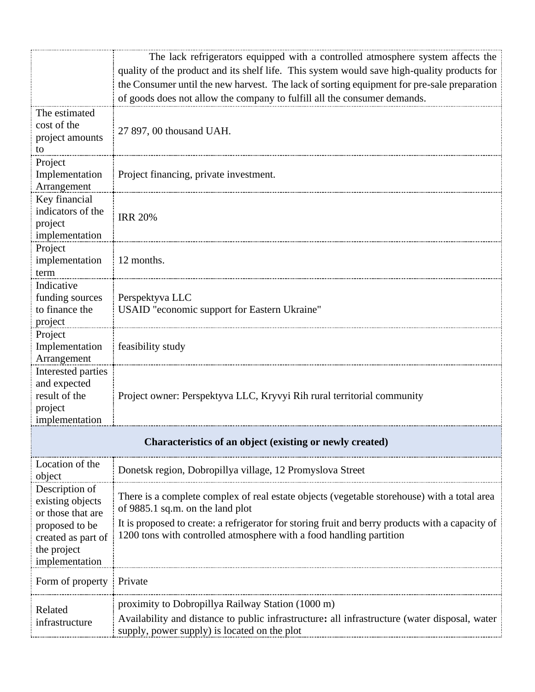|                                                          | The lack refrigerators equipped with a controlled atmosphere system affects the                                                 |  |
|----------------------------------------------------------|---------------------------------------------------------------------------------------------------------------------------------|--|
|                                                          | quality of the product and its shelf life. This system would save high-quality products for                                     |  |
|                                                          | the Consumer until the new harvest. The lack of sorting equipment for pre-sale preparation                                      |  |
| The estimated                                            | of goods does not allow the company to fulfill all the consumer demands.                                                        |  |
| cost of the                                              |                                                                                                                                 |  |
| project amounts                                          | 27 897, 00 thousand UAH.                                                                                                        |  |
| to                                                       |                                                                                                                                 |  |
| Project                                                  |                                                                                                                                 |  |
| Implementation<br>Arrangement                            | Project financing, private investment.                                                                                          |  |
| Key financial                                            |                                                                                                                                 |  |
| indicators of the                                        |                                                                                                                                 |  |
| project                                                  | <b>IRR 20%</b>                                                                                                                  |  |
| implementation                                           |                                                                                                                                 |  |
| Project                                                  |                                                                                                                                 |  |
| implementation<br>term                                   | 12 months.                                                                                                                      |  |
| Indicative                                               |                                                                                                                                 |  |
| funding sources                                          | Perspektyva LLC                                                                                                                 |  |
| to finance the                                           | USAID "economic support for Eastern Ukraine"                                                                                    |  |
| project                                                  |                                                                                                                                 |  |
| Project                                                  |                                                                                                                                 |  |
| Implementation<br>Arrangement                            | feasibility study                                                                                                               |  |
| Interested parties                                       |                                                                                                                                 |  |
| and expected                                             |                                                                                                                                 |  |
| result of the                                            | Project owner: Perspektyva LLC, Kryvyi Rih rural territorial community                                                          |  |
| project                                                  |                                                                                                                                 |  |
| implementation                                           |                                                                                                                                 |  |
| Characteristics of an object (existing or newly created) |                                                                                                                                 |  |
| Location of the<br>object                                | Donetsk region, Dobropillya village, 12 Promyslova Street                                                                       |  |
| Description of                                           |                                                                                                                                 |  |
| existing objects                                         | There is a complete complex of real estate objects (vegetable storehouse) with a total area<br>of 9885.1 sq.m. on the land plot |  |
| or those that are                                        | It is proposed to create: a refrigerator for storing fruit and berry products with a capacity of                                |  |
| proposed to be<br>created as part of                     | 1200 tons with controlled atmosphere with a food handling partition                                                             |  |
| the project                                              |                                                                                                                                 |  |
| implementation                                           |                                                                                                                                 |  |
| Form of property                                         | Private                                                                                                                         |  |
|                                                          | proximity to Dobropillya Railway Station (1000 m)                                                                               |  |
| Related<br>infrastructure                                | Availability and distance to public infrastructure: all infrastructure (water disposal, water                                   |  |
|                                                          | supply, power supply) is located on the plot                                                                                    |  |